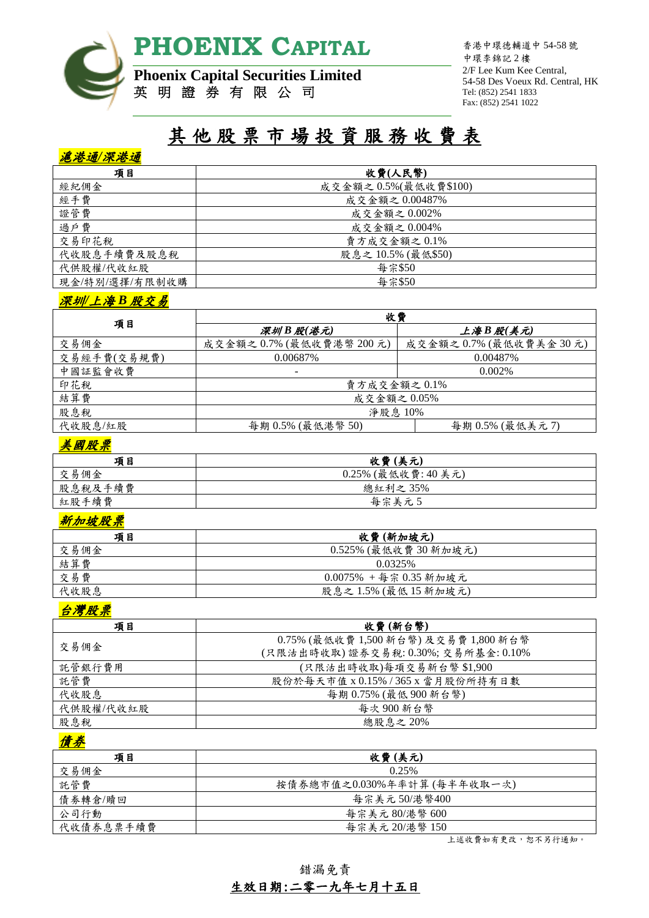

香港中環德輔道中 54-58 號 中環李錦記 2 樓 2/F Lee Kum Kee Central, 54-58 Des Voeux Rd. Central, HK Tel: (852) 2541 1833 Fax: (852) 2541 1022

# **Phoenix Capital Securities Limited** 英 明 證 券 有 限 公 司

# 其 他 股 票 市 場 投 資 服 務 收 費 表

# 滬港通*/*深港通

| 項目             | 收費(人民幣)               |
|----------------|-----------------------|
| 經紀佣金           | 成交金額之 0.5%(最低收費\$100) |
| 經手費            | 成交金額之 0.00487%        |
| 證管費            | 成交金額之0.002%           |
| 過戶費            | 成交金額之 0.004%          |
| 交易印花稅          | 賣方成交金額之0.1%           |
| 代收股息手續費及股息稅    | 股息之10.5% (最低\$50)     |
| 代供股權/代收紅股      | 每宗\$50                |
| 現金/特別/選擇/有限制收購 | 每宗\$50                |

### 深圳*/*上海 *B* 股交易

|             | 收費                     |                       |
|-------------|------------------------|-----------------------|
| 項目          | 深圳B股(港元)               | 上海B股(美元)              |
| 交易佣金        | 成交金額之0.7% (最低收費港幣200元) | 成交金額之0.7% (最低收費美金30元) |
| 交易經手費(交易規費) | 0.00687%               | 0.00487\%             |
| 中國証監會收費     |                        | $0.002\%$             |
| 印花稅         | 賣方成交金額之0.1%            |                       |
| 結算費         | 成交金額之 0.05%            |                       |
| 股息稅         | 淨股息 10%                |                       |
| 代收股息/紅股     | 每期 0.5% (最低港幣 50)      | 每期 0.5% (最低美元7)       |

# 美國股票

| 項目      | 收費(美元)              |
|---------|---------------------|
| 交易佣金    | 0.25% (最低收費: 40 美元) |
| 股息稅及手續費 | 總紅利之35%             |
| 紅股手續費   | 每宗美元5               |

### 新加坡股票

| 項目   | 收費(新加坡元)                 |
|------|--------------------------|
| 交易佣金 | 0.525% (最低收費30新加坡元)      |
| 結算費  | 0.0325%                  |
| 交易費  | $0.0075\%$ +每宗 0.35 新加坡元 |
| 代收股息 | 股息之1.5% (最低15新加坡元)       |

### 台灣股票

| 項目        | 收費(新台幣)                               |
|-----------|---------------------------------------|
|           | 0.75% (最低收費 1,500 新台幣) 及交易費 1,800 新台幣 |
| 交易佣金      | (只限沽出時收取)證券交易稅:0.30%; 交易所基金:0.10%     |
| 託管銀行費用    | (只限沽出時收取)每項交易新台幣\$1,900               |
| 託管費       | 股份於每天市值 x 0.15% / 365 x 當月股份所持有日數     |
| 代收股息      | 每期 0.75% (最低 900 新台幣)                 |
| 代供股權/代收紅股 | 每次900新台幣                              |
| 股息稅       | 總股息之 20%                              |

# 債券

| 項目        | 收費(美元)                     |
|-----------|----------------------------|
| 交易佣金      | 0.25%                      |
| 託管費       | 按債券總市值之0.030%年率計算(每半年收取一次) |
| 債券轉倉/贖回   | 每宗美元 50/港幣400              |
| 公司行動      | 每宗美元 80/港幣 600             |
| 代收債券息票手續費 | 每宗美元 20/港幣 150             |

上述收費如有更改,恕不另行通知。

錯漏免責

# 生效日期:二零一九年七月十五日